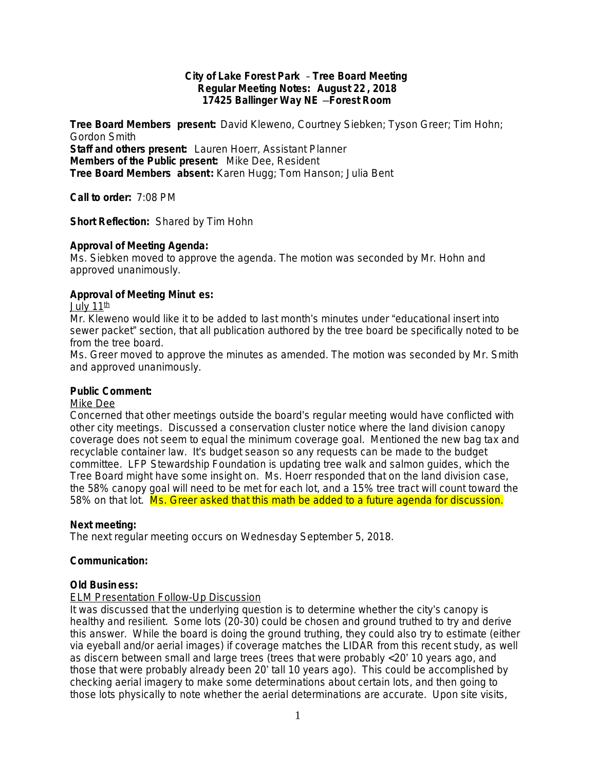### **City of Lake Forest Park** – **Tree Board Meeting Regular Meeting Notes: August 22 , 2018 17425 Ballinger Way NE** —**Forest Room**

**Tree Board Members present:** David Kleweno, Courtney Siebken; Tyson Greer; Tim Hohn; Gordon Smith **Staff and others present:** Lauren Hoerr, Assistant Planner **Members of the Public present:** Mike Dee, Resident **Tree Board Members absent:** Karen Hugg; Tom Hanson; Julia Bent

**Call to order:** 7:08 PM

**Short Reflection:** Shared by Tim Hohn

## **Approval of Meeting Agenda:**

Ms. Siebken moved to approve the agenda. The motion was seconded by Mr. Hohn and approved unanimously.

## **Approval of Meeting Minut es:**

July 11<sup>th</sup>

Mr. Kleweno would like it to be added to last month's minutes under "educational insert into sewer packet" section, that all publication authored by the tree board be specifically noted to be from the tree board.

Ms. Greer moved to approve the minutes as amended. The motion was seconded by Mr. Smith and approved unanimously.

### **Public Comment:**

### Mike Dee

Concerned that other meetings outside the board's regular meeting would have conflicted with other city meetings. Discussed a conservation cluster notice where the land division canopy coverage does not seem to equal the minimum coverage goal. Mentioned the new bag tax and recyclable container law. It's budget season so any requests can be made to the budget committee. LFP Stewardship Foundation is updating tree walk and salmon guides, which the Tree Board might have some insight on. Ms. Hoerr responded that on the land division case, the 58% canopy goal will need to be met for each lot, and a 15% tree tract will count toward the 58% on that lot. Ms. Greer asked that this math be added to a future agenda for discussion.

### **Next meeting:**

The next regular meeting occurs on Wednesday September 5, 2018.

# **Communication:**

### **Old Busin ess:**

# ELM Presentation Follow-Up Discussion

It was discussed that the underlying question is to determine whether the city's canopy is healthy and resilient. Some lots (20-30) could be chosen and ground truthed to try and derive this answer. While the board is doing the ground truthing, they could also try to estimate (either via eyeball and/or aerial images) if coverage matches the LIDAR from this recent study, as well as discern between small and large trees (trees that were probably <20' 10 years ago, and those that were probably already been 20' tall 10 years ago). This could be accomplished by checking aerial imagery to make some determinations about certain lots, and then going to those lots physically to note whether the aerial determinations are accurate. Upon site visits,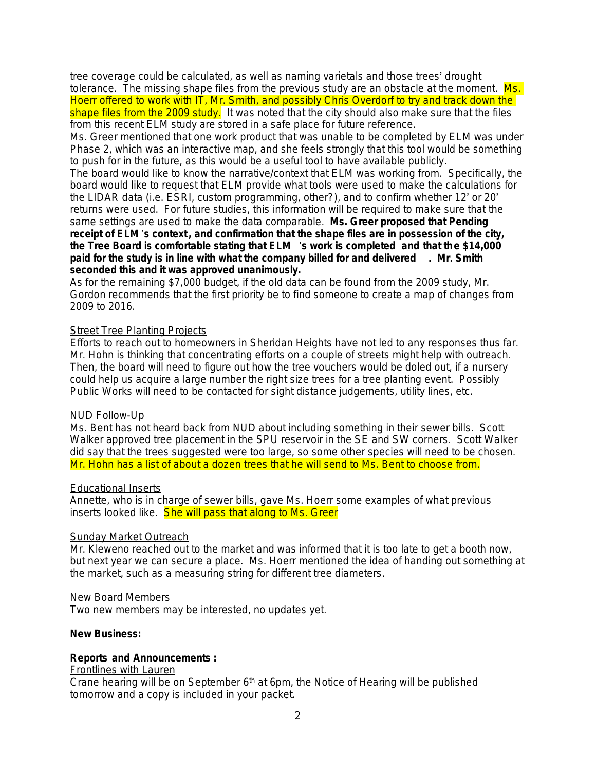tree coverage could be calculated, as well as naming varietals and those trees' drought tolerance. The missing shape files from the previous study are an obstacle at the moment. Ms. Hoerr offered to work with IT, Mr. Smith, and possibly Chris Overdorf to try and track down the shape files from the 2009 study. It was noted that the city should also make sure that the files from this recent ELM study are stored in a safe place for future reference.

Ms. Greer mentioned that one work product that was unable to be completed by ELM was under Phase 2, which was an interactive map, and she feels strongly that this tool would be something to push for in the future, as this would be a useful tool to have available publicly.

The board would like to know the narrative/context that ELM was working from. Specifically, the board would like to request that ELM provide what tools were used to make the calculations for the LIDAR data (i.e. ESRI, custom programming, other?), and to confirm whether 12' or 20' returns were used. For future studies, this information will be required to make sure that the same settings are used to make the data comparable. **Ms. Greer proposed that Pending receipt of ELM** '**s context , and confirmation that the shape files are in possession of the city, the Tree Board is comfortable stating that ELM** '**s work is completed and that the \$14,000 paid for the study is in line with what the company billed for and delivered . Mr. Smith seconded this and it was approved unanimously.**

As for the remaining \$7,000 budget, if the old data can be found from the 2009 study, Mr. Gordon recommends that the first priority be to find someone to create a map of changes from 2009 to 2016.

### Street Tree Planting Projects

Efforts to reach out to homeowners in Sheridan Heights have not led to any responses thus far. Mr. Hohn is thinking that concentrating efforts on a couple of streets might help with outreach. Then, the board will need to figure out how the tree vouchers would be doled out, if a nursery could help us acquire a large number the right size trees for a tree planting event. Possibly Public Works will need to be contacted for sight distance judgements, utility lines, etc.

### NUD Follow-Up

Ms. Bent has not heard back from NUD about including something in their sewer bills. Scott Walker approved tree placement in the SPU reservoir in the SE and SW corners. Scott Walker did say that the trees suggested were too large, so some other species will need to be chosen. Mr. Hohn has a list of about a dozen trees that he will send to Ms. Bent to choose from.

### Educational Inserts

Annette, who is in charge of sewer bills, gave Ms. Hoerr some examples of what previous inserts looked like. She will pass that along to Ms. Greer

### Sunday Market Outreach

Mr. Kleweno reached out to the market and was informed that it is too late to get a booth now, but next year we can secure a place. Ms. Hoerr mentioned the idea of handing out something at the market, such as a measuring string for different tree diameters.

### New Board Members

Two new members may be interested, no updates yet.

### **New Business:**

# **Reports and Announcements :**

## Frontlines with Lauren

Crane hearing will be on September  $6<sup>th</sup>$  at 6pm, the Notice of Hearing will be published tomorrow and a copy is included in your packet.